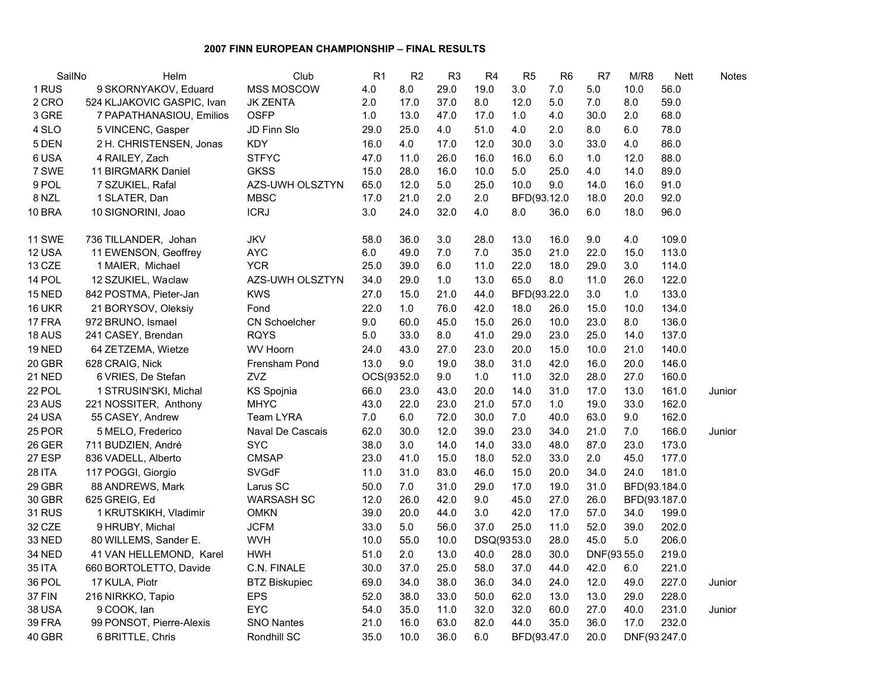## **2007 FINN EUROPEAN CHAMPIONSHIP – FINAL RESULTS**

| SailNo        | Helm                       | Club                 | R <sub>1</sub> | R2   | R <sub>3</sub> | R <sub>4</sub> | R <sub>5</sub> | R <sub>6</sub> | R7          | M/R8         | <b>Nett</b> | Notes  |
|---------------|----------------------------|----------------------|----------------|------|----------------|----------------|----------------|----------------|-------------|--------------|-------------|--------|
| 1 RUS         | 9 SKORNYAKOV, Eduard       | MSS MOSCOW           | 4.0            | 8.0  | 29.0           | 19.0           | 3.0            | 7.0            | 5.0         | 10.0         | 56.0        |        |
| 2 CRO         | 524 KLJAKOVIC GASPIC, Ivan | <b>JK ZENTA</b>      | 2.0            | 17.0 | 37.0           | 8.0            | 12.0           | 5.0            | 7.0         | 8.0          | 59.0        |        |
| 3 GRE         | 7 PAPATHANASIOU, Emilios   | OSFP                 | 1.0            | 13.0 | 47.0           | 17.0           | $1.0$          | 4.0            | 30.0        | 2.0          | 68.0        |        |
| 4 SLO         | 5 VINCENC, Gasper          | JD Finn Slo          | 29.0           | 25.0 | 4.0            | 51.0           | 4.0            | 2.0            | 8.0         | 6.0          | 78.0        |        |
| 5 DEN         | 2 H. CHRISTENSEN, Jonas    | <b>KDY</b>           | 16.0           | 4.0  | 17.0           | 12.0           | 30.0           | 3.0            | 33.0        | 4.0          | 86.0        |        |
| 6 USA         | 4 RAILEY, Zach             | <b>STFYC</b>         | 47.0           | 11.0 | 26.0           | 16.0           | 16.0           | 6.0            | 1.0         | 12.0         | 88.0        |        |
| 7 SWE         | 11 BIRGMARK Daniel         | <b>GKSS</b>          | 15.0           | 28.0 | 16.0           | 10.0           | 5.0            | 25.0           | 4.0         | 14.0         | 89.0        |        |
| 9 POL         | 7 SZUKIEL, Rafal           | AZS-UWH OLSZTYN      | 65.0           | 12.0 | $5.0\,$        | 25.0           | 10.0           | 9.0            | 14.0        | 16.0         | 91.0        |        |
| 8 NZL         | 1 SLATER, Dan              | <b>MBSC</b>          | 17.0           | 21.0 | 2.0            | 2.0            | BFD(93.12.0    |                | 18.0        | 20.0         | 92.0        |        |
| 10 BRA        | 10 SIGNORINI, Joao         | <b>ICRJ</b>          | 3.0            | 24.0 | 32.0           | 4.0            | 8.0            | 36.0           | 6.0         | 18.0         | 96.0        |        |
| 11 SWE        | 736 TILLANDER, Johan       | JKV                  | 58.0           | 36.0 | 3.0            | 28.0           | 13.0           | 16.0           | 9.0         | 4.0          | 109.0       |        |
| 12 USA        | 11 EWENSON, Geoffrey       | <b>AYC</b>           | 6.0            | 49.0 | $7.0$          | $7.0\,$        | 35.0           | 21.0           | 22.0        | 15.0         | 113.0       |        |
| 13 CZE        | 1 MAIER, Michael           | <b>YCR</b>           | 25.0           | 39.0 | 6.0            | 11.0           | 22.0           | 18.0           | 29.0        | 3.0          | 114.0       |        |
| 14 POL        | 12 SZUKIEL, Waclaw         | AZS-UWH OLSZTYN      | 34.0           | 29.0 | 1.0            | 13.0           | 65.0           | 8.0            | 11.0        | 26.0         | 122.0       |        |
| <b>15 NED</b> | 842 POSTMA, Pieter-Jan     | <b>KWS</b>           | 27.0           | 15.0 | 21.0           | 44.0           | BFD(93.22.0    |                | 3.0         | 1.0          | 133.0       |        |
| 16 UKR        | 21 BORYSOV, Oleksiy        | Fond                 | 22.0           | 1.0  | 76.0           | 42.0           | 18.0           | 26.0           | 15.0        | 10.0         | 134.0       |        |
| 17 FRA        | 972 BRUNO, Ismael          | <b>CN Schoelcher</b> | 9.0            | 60.0 | 45.0           | 15.0           | 26.0           | 10.0           | 23.0        | 8.0          | 136.0       |        |
| 18 AUS        | 241 CASEY, Brendan         | <b>RQYS</b>          | 5.0            | 33.0 | 8.0            | 41.0           | 29.0           | 23.0           | 25.0        | 14.0         | 137.0       |        |
| <b>19 NED</b> | 64 ZETZEMA, Wietze         | <b>WV Hoorn</b>      | 24.0           | 43.0 | 27.0           | 23.0           | 20.0           | 15.0           | 10.0        | 21.0         | 140.0       |        |
| 20 GBR        | 628 CRAIG, Nick            | Frensham Pond        | 13.0           | 9.0  | 19.0           | 38.0           | 31.0           | 42.0           | 16.0        | 20.0         | 146.0       |        |
| <b>21 NED</b> | 6 VRIES, De Stefan         | ZVZ                  | OCS(9352.0     |      | 9.0            | 1.0            | 11.0           | 32.0           | 28.0        | 27.0         | 160.0       |        |
| 22 POL        | 1 STRUSIN'SKI, Michal      | KS Spojnia           | 66.0           | 23.0 | 43.0           | 20.0           | 14.0           | 31.0           | 17.0        | 13.0         | 161.0       | Junior |
| 23 AUS        | 221 NOSSITER, Anthony      | <b>MHYC</b>          | 43.0           | 22.0 | 23.0           | 21.0           | 57.0           | 1.0            | 19.0        | 33.0         | 162.0       |        |
| 24 USA        | 55 CASEY, Andrew           | <b>Team LYRA</b>     | 7.0            | 6.0  | 72.0           | 30.0           | 7.0            | 40.0           | 63.0        | 9.0          | 162.0       |        |
| 25 POR        | 5 MELO, Frederico          | Naval De Cascais     | 62.0           | 30.0 | 12.0           | 39.0           | 23.0           | 34.0           | 21.0        | 7.0          | 166.0       | Junior |
| 26 GER        | 711 BUDZIEN, André         | <b>SYC</b>           | 38.0           | 3.0  | 14.0           | 14.0           | 33.0           | 48.0           | 87.0        | 23.0         | 173.0       |        |
| 27 ESP        | 836 VADELL, Alberto        | <b>CMSAP</b>         | 23.0           | 41.0 | 15.0           | 18.0           | 52.0           | 33.0           | 2.0         | 45.0         | 177.0       |        |
| <b>28 ITA</b> | 117 POGGI, Giorgio         | <b>SVGdF</b>         | 11.0           | 31.0 | 83.0           | 46.0           | 15.0           | 20.0           | 34.0        | 24.0         | 181.0       |        |
| 29 GBR        | 88 ANDREWS, Mark           | Larus SC             | 50.0           | 7.0  | 31.0           | 29.0           | 17.0           | 19.0           | 31.0        | BFD(93.184.0 |             |        |
| 30 GBR        | 625 GREIG, Ed              | WARSASH SC           | 12.0           | 26.0 | 42.0           | 9.0            | 45.0           | 27.0           | 26.0        | BFD(93.187.0 |             |        |
| <b>31 RUS</b> | 1 KRUTSKIKH, Vladimir      | <b>OMKN</b>          | 39.0           | 20.0 | 44.0           | 3.0            | 42.0           | 17.0           | 57.0        | 34.0         | 199.0       |        |
| 32 CZE        | 9 HRUBY, Michal            | <b>JCFM</b>          | 33.0           | 5.0  | 56.0           | 37.0           | 25.0           | 11.0           | 52.0        | 39.0         | 202.0       |        |
| 33 NED        | 80 WILLEMS, Sander E.      | <b>WVH</b>           | 10.0           | 55.0 | 10.0           | DSQ(9353.0     |                | 28.0           | 45.0        | 5.0          | 206.0       |        |
| 34 NED        | 41 VAN HELLEMOND, Karel    | <b>HWH</b>           | 51.0           | 2.0  | 13.0           | 40.0           | 28.0           | 30.0           | DNF(93.55.0 |              | 219.0       |        |
| <b>35 ITA</b> | 660 BORTOLETTO, Davide     | C.N. FINALE          | 30.0           | 37.0 | 25.0           | 58.0           | 37.0           | 44.0           | 42.0        | 6.0          | 221.0       |        |
| 36 POL        | 17 KULA, Piotr             | <b>BTZ Biskupiec</b> | 69.0           | 34.0 | 38.0           | 36.0           | 34.0           | 24.0           | 12.0        | 49.0         | 227.0       | Junior |
| 37 FIN        | 216 NIRKKO, Tapio          | <b>EPS</b>           | 52.0           | 38.0 | 33.0           | 50.0           | 62.0           | 13.0           | 13.0        | 29.0         | 228.0       |        |
| <b>38 USA</b> | 9 COOK, lan                | <b>EYC</b>           | 54.0           | 35.0 | 11.0           | 32.0           | 32.0           | 60.0           | 27.0        | 40.0         | 231.0       | Junior |
| 39 FRA        | 99 PONSOT, Pierre-Alexis   | <b>SNO Nantes</b>    | 21.0           | 16.0 | 63.0           | 82.0           | 44.0           | 35.0           | 36.0        | 17.0         | 232.0       |        |
| 40 GBR        | 6 BRITTLE, Chris           | Rondhill SC          | 35.0           | 10.0 | 36.0           | 6.0            | BFD(93.47.0    |                | 20.0        | DNF(93.247.0 |             |        |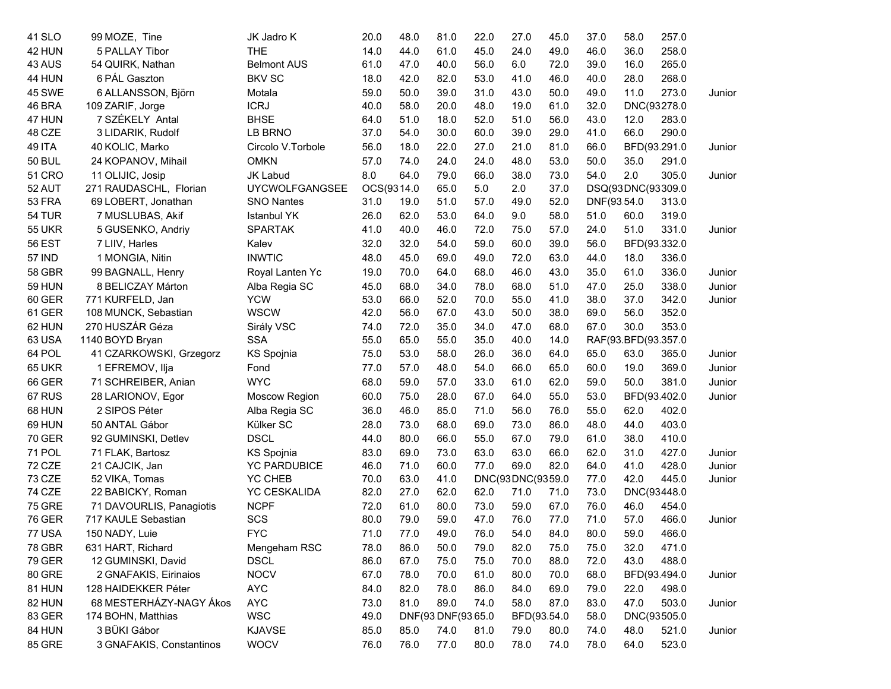| 41 SLO        | 99 MOZE, Tine            | JK Jadro K            | 20.0 | 48.0                                 | 81.0               | 22.0 | 27.0             | 45.0                | 37.0              | 58.0        | 257.0        |        |
|---------------|--------------------------|-----------------------|------|--------------------------------------|--------------------|------|------------------|---------------------|-------------------|-------------|--------------|--------|
| 42 HUN        | 5 PALLAY Tibor           | <b>THE</b>            | 14.0 | 44.0                                 | 61.0               | 45.0 | 24.0             | 49.0                | 46.0              | 36.0        | 258.0        |        |
| 43 AUS        | 54 QUIRK, Nathan         | <b>Belmont AUS</b>    | 61.0 | 47.0                                 | 40.0               | 56.0 | 6.0              | 72.0                | 39.0              | 16.0        | 265.0        |        |
| 44 HUN        | 6 PÁL Gaszton            | <b>BKV SC</b>         | 18.0 | 42.0                                 | 82.0               | 53.0 | 41.0             | 46.0                | 40.0              | 28.0        | 268.0        |        |
| 45 SWE        | 6 ALLANSSON, Björn       | Motala                | 59.0 | 50.0                                 | 39.0               | 31.0 | 43.0             | 50.0                | 49.0              | 11.0        | 273.0        | Junior |
| 46 BRA        | 109 ZARIF, Jorge         | <b>ICRJ</b>           | 40.0 | 58.0                                 | 20.0               | 48.0 | 19.0             | 61.0                | 32.0              |             | DNC(93278.0  |        |
| 47 HUN        | 7 SZÉKELY Antal          | <b>BHSE</b>           | 64.0 | 51.0                                 | 18.0               | 52.0 | 51.0             | 56.0                | 43.0              | 12.0        | 283.0        |        |
| 48 CZE        | 3 LIDARIK, Rudolf        | LB BRNO               | 37.0 | 54.0                                 | 30.0               | 60.0 | 39.0             | 29.0                | 41.0              | 66.0        | 290.0        |        |
| <b>49 ITA</b> | 40 KOLIC, Marko          | Circolo V.Torbole     | 56.0 | 18.0                                 | 22.0               | 27.0 | 21.0             | 81.0                | 66.0              |             | BFD(93.291.0 | Junior |
| <b>50 BUL</b> | 24 KOPANOV, Mihail       | <b>OMKN</b>           | 57.0 | 74.0                                 | 24.0               | 24.0 | 48.0             | 53.0                | 50.0              | 35.0        | 291.0        |        |
| <b>51 CRO</b> | 11 OLIJIC, Josip         | JK Labud              | 8.0  | 64.0                                 | 79.0               | 66.0 | 38.0             | 73.0                | 54.0              | 2.0         | 305.0        | Junior |
| 52 AUT        | 271 RAUDASCHL, Florian   | <b>UYCWOLFGANGSEE</b> |      | OCS(9314.0<br>65.0                   |                    | 5.0  | 2.0              | 37.0                | DSQ(93DNC(93309.0 |             |              |        |
| 53 FRA        | 69 LOBERT, Jonathan      | SNO Nantes            | 31.0 | 19.0                                 | 51.0               | 57.0 | 49.0             | 52.0                |                   | DNF(93.54.0 | 313.0        |        |
| 54 TUR        | 7 MUSLUBAS, Akif         | <b>Istanbul YK</b>    | 26.0 | 62.0                                 | 53.0               | 64.0 | 9.0              | 58.0                | 51.0              | 60.0        | 319.0        |        |
| <b>55 UKR</b> | 5 GUSENKO, Andriy        | <b>SPARTAK</b>        | 41.0 | 40.0                                 | 46.0               | 72.0 | 75.0             | 57.0                | 24.0              | 51.0        | 331.0        | Junior |
| <b>56 EST</b> | 7 LIIV, Harles           | Kalev                 | 32.0 | 32.0                                 | 54.0               | 59.0 | 60.0             | 39.0                | 56.0              |             | BFD(93.332.0 |        |
| <b>57 IND</b> | 1 MONGIA, Nitin          | <b>INWTIC</b>         | 48.0 | 45.0                                 | 69.0               | 49.0 | 72.0             | 63.0                | 44.0              | 18.0        | 336.0        |        |
| 58 GBR        | 99 BAGNALL, Henry        | Royal Lanten Yc       | 19.0 | 70.0                                 | 64.0               | 68.0 | 46.0             | 43.0                | 35.0              | 61.0        | 336.0        | Junior |
| <b>59 HUN</b> | 8 BELICZAY Márton        | Alba Regia SC         | 45.0 | 68.0                                 | 34.0               | 78.0 | 68.0             | 51.0                | 47.0              | 25.0        | 338.0        | Junior |
| 60 GER        | 771 KURFELD, Jan         | <b>YCW</b>            | 53.0 | 66.0                                 | 52.0               | 70.0 | 55.0             | 41.0                | 38.0              | 37.0        | 342.0        | Junior |
| 61 GER        | 108 MUNCK, Sebastian     | <b>WSCW</b>           | 42.0 | 56.0                                 | 67.0               | 43.0 | 50.0             | 38.0                | 69.0              | 56.0        | 352.0        |        |
| 62 HUN        | 270 HUSZÁR Géza          | Sirály VSC            | 74.0 | 72.0                                 | 35.0               | 34.0 | 47.0             | 68.0                | 67.0              | 30.0        | 353.0        |        |
| 63 USA        | 1140 BOYD Bryan          | <b>SSA</b>            | 55.0 | 65.0<br>55.0<br>35.0<br>40.0<br>14.0 |                    |      |                  | RAF(93.BFD(93.357.0 |                   |             |              |        |
| 64 POL        | 41 CZARKOWSKI, Grzegorz  | KS Spojnia            | 75.0 | 53.0                                 | 58.0               | 26.0 | 36.0             | 64.0                | 65.0              | 63.0        | 365.0        | Junior |
| <b>65 UKR</b> | 1 EFREMOV, Ilja          | Fond                  | 77.0 | 57.0                                 | 48.0               | 54.0 | 66.0             | 65.0                | 60.0              | 19.0        | 369.0        | Junior |
| 66 GER        | 71 SCHREIBER, Anian      | <b>WYC</b>            | 68.0 | 59.0                                 | 57.0               | 33.0 | 61.0             | 62.0                | 59.0              | 50.0        | 381.0        | Junior |
| 67 RUS        | 28 LARIONOV, Egor        | Moscow Region         | 60.0 | 75.0                                 | 28.0               | 67.0 | 64.0             | 55.0                | 53.0              |             | BFD(93.402.0 | Junior |
| 68 HUN        | 2 SIPOS Péter            | Alba Regia SC         | 36.0 | 46.0                                 | 85.0               | 71.0 | 56.0             | 76.0                | 55.0              | 62.0        | 402.0        |        |
| 69 HUN        | 50 ANTAL Gábor           | Külker SC             | 28.0 | 73.0                                 | 68.0               | 69.0 | 73.0             | 86.0                | 48.0              | 44.0        | 403.0        |        |
| <b>70 GER</b> | 92 GUMINSKI, Detlev      | <b>DSCL</b>           | 44.0 | 80.0                                 | 66.0               | 55.0 | 67.0             | 79.0                | 61.0              | 38.0        | 410.0        |        |
| 71 POL        | 71 FLAK, Bartosz         | <b>KS Spojnia</b>     | 83.0 | 69.0                                 | 73.0               | 63.0 | 63.0             | 66.0                | 62.0              | 31.0        | 427.0        | Junior |
| 72 CZE        | 21 CAJCIK, Jan           | <b>YC PARDUBICE</b>   | 46.0 | 71.0                                 | 60.0               | 77.0 | 69.0             | 82.0                | 64.0              | 41.0        | 428.0        | Junior |
| 73 CZE        | 52 VIKA, Tomas           | <b>YC CHEB</b>        | 70.0 | 63.0                                 | 41.0               |      | DNC(93DNC(9359.0 |                     | 77.0              | 42.0        | 445.0        | Junior |
| 74 CZE        | 22 BABICKY, Roman        | <b>YC CESKALIDA</b>   | 82.0 | 27.0                                 | 62.0               | 62.0 | 71.0             | 71.0                | 73.0              |             | DNC(93448.0  |        |
| <b>75 GRE</b> | 71 DAVOURLIS, Panagiotis | <b>NCPF</b>           | 72.0 | 61.0                                 | 80.0               | 73.0 | 59.0             | 67.0                | 76.0              | 46.0        | 454.0        |        |
| <b>76 GER</b> | 717 KAULE Sebastian      | SCS                   | 80.0 | 79.0                                 | 59.0               | 47.0 | 76.0             | 77.0                | 71.0              | 57.0        | 466.0        | Junior |
| 77 USA        | 150 NADY, Luie           | <b>FYC</b>            | 71.0 | 77.0                                 | 49.0               | 76.0 | 54.0             | 84.0                | 80.0              | 59.0        | 466.0        |        |
| 78 GBR        | 631 HART, Richard        | Mengeham RSC          | 78.0 | 86.0                                 | 50.0               | 79.0 | 82.0             | 75.0                | 75.0              | 32.0        | 471.0        |        |
| <b>79 GER</b> | 12 GUMINSKI, David       | <b>DSCL</b>           | 86.0 | 67.0                                 | 75.0               | 75.0 | 70.0             | 88.0                | 72.0              | 43.0        | 488.0        |        |
| 80 GRE        | 2 GNAFAKIS, Eirinaios    | <b>NOCV</b>           | 67.0 | 78.0                                 | 70.0               | 61.0 | 80.0             | 70.0                | 68.0              |             | BFD(93.494.0 | Junior |
| 81 HUN        | 128 HAIDEKKER Péter      | <b>AYC</b>            | 84.0 | 82.0                                 | 78.0               | 86.0 | 84.0             | 69.0                | 79.0              | 22.0        | 498.0        |        |
| 82 HUN        | 68 MESTERHÁZY-NAGY Ákos  | <b>AYC</b>            | 73.0 | 81.0                                 | 89.0               | 74.0 | 58.0             | 87.0                | 83.0              | 47.0        | 503.0        | Junior |
| 83 GER        | 174 BOHN, Matthias       | <b>WSC</b>            | 49.0 |                                      | DNF(93 DNF(93.65.0 |      | BFD(93.54.0      |                     | 58.0              |             | DNC(93505.0  |        |
| 84 HUN        | 3 BÜKI Gábor             | <b>KJAVSE</b>         | 85.0 | 85.0                                 | 74.0               | 81.0 | 79.0             | 80.0                | 74.0              | 48.0        | 521.0        | Junior |
| <b>85 GRE</b> | 3 GNAFAKIS, Constantinos | <b>WOCV</b>           | 76.0 | 76.0                                 | 77.0               | 80.0 | 78.0             | 74.0                | 78.0              | 64.0        | 523.0        |        |